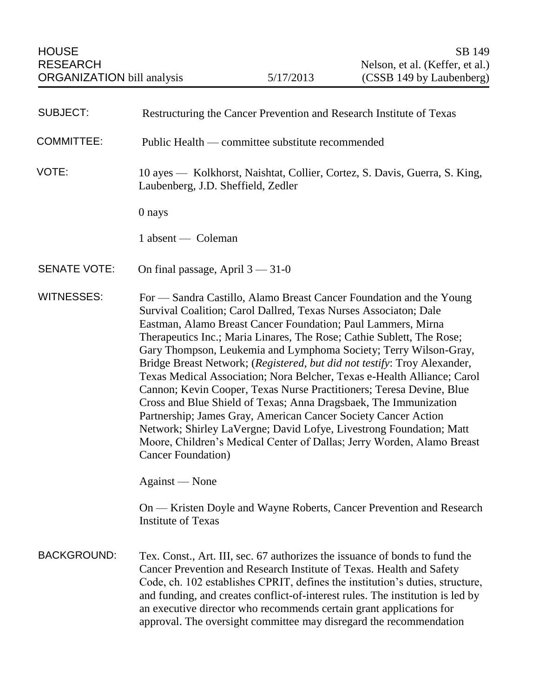| <b>SUBJECT:</b>     | Restructuring the Cancer Prevention and Research Institute of Texas                                                                                                                                                                                                                                                                                                                                                                                                                                                                                                                                                                                                                                                                                                                                                                                                                                                                                                                                |
|---------------------|----------------------------------------------------------------------------------------------------------------------------------------------------------------------------------------------------------------------------------------------------------------------------------------------------------------------------------------------------------------------------------------------------------------------------------------------------------------------------------------------------------------------------------------------------------------------------------------------------------------------------------------------------------------------------------------------------------------------------------------------------------------------------------------------------------------------------------------------------------------------------------------------------------------------------------------------------------------------------------------------------|
| <b>COMMITTEE:</b>   | Public Health — committee substitute recommended                                                                                                                                                                                                                                                                                                                                                                                                                                                                                                                                                                                                                                                                                                                                                                                                                                                                                                                                                   |
| VOTE:               | 10 ayes — Kolkhorst, Naishtat, Collier, Cortez, S. Davis, Guerra, S. King,<br>Laubenberg, J.D. Sheffield, Zedler                                                                                                                                                                                                                                                                                                                                                                                                                                                                                                                                                                                                                                                                                                                                                                                                                                                                                   |
|                     | 0 nays                                                                                                                                                                                                                                                                                                                                                                                                                                                                                                                                                                                                                                                                                                                                                                                                                                                                                                                                                                                             |
|                     | 1 absent — Coleman                                                                                                                                                                                                                                                                                                                                                                                                                                                                                                                                                                                                                                                                                                                                                                                                                                                                                                                                                                                 |
| <b>SENATE VOTE:</b> | On final passage, April $3 - 31 - 0$                                                                                                                                                                                                                                                                                                                                                                                                                                                                                                                                                                                                                                                                                                                                                                                                                                                                                                                                                               |
| <b>WITNESSES:</b>   | For — Sandra Castillo, Alamo Breast Cancer Foundation and the Young<br>Survival Coalition; Carol Dallred, Texas Nurses Associaton; Dale<br>Eastman, Alamo Breast Cancer Foundation; Paul Lammers, Mirna<br>Therapeutics Inc.; Maria Linares, The Rose; Cathie Sublett, The Rose;<br>Gary Thompson, Leukemia and Lymphoma Society; Terry Wilson-Gray,<br>Bridge Breast Network; (Registered, but did not testify: Troy Alexander,<br>Texas Medical Association; Nora Belcher, Texas e-Health Alliance; Carol<br>Cannon; Kevin Cooper, Texas Nurse Practitioners; Teresa Devine, Blue<br>Cross and Blue Shield of Texas; Anna Dragsbaek, The Immunization<br>Partnership; James Gray, American Cancer Society Cancer Action<br>Network; Shirley LaVergne; David Lofye, Livestrong Foundation; Matt<br>Moore, Children's Medical Center of Dallas; Jerry Worden, Alamo Breast<br><b>Cancer Foundation</b> )<br>Against — None<br>On — Kristen Doyle and Wayne Roberts, Cancer Prevention and Research |
|                     | <b>Institute of Texas</b>                                                                                                                                                                                                                                                                                                                                                                                                                                                                                                                                                                                                                                                                                                                                                                                                                                                                                                                                                                          |
| <b>BACKGROUND:</b>  | Tex. Const., Art. III, sec. 67 authorizes the issuance of bonds to fund the<br>Cancer Prevention and Research Institute of Texas. Health and Safety<br>Code, ch. 102 establishes CPRIT, defines the institution's duties, structure,<br>and funding, and creates conflict-of-interest rules. The institution is led by<br>an executive director who recommends certain grant applications for<br>approval. The oversight committee may disregard the recommendation                                                                                                                                                                                                                                                                                                                                                                                                                                                                                                                                |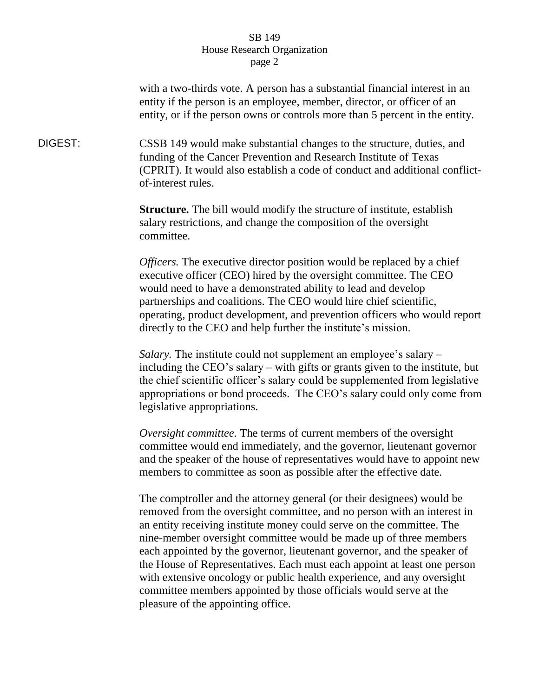with a two-thirds vote. A person has a substantial financial interest in an entity if the person is an employee, member, director, or officer of an entity, or if the person owns or controls more than 5 percent in the entity.

DIGEST: CSSB 149 would make substantial changes to the structure, duties, and funding of the Cancer Prevention and Research Institute of Texas (CPRIT). It would also establish a code of conduct and additional conflictof-interest rules.

> **Structure.** The bill would modify the structure of institute, establish salary restrictions, and change the composition of the oversight committee.

*Officers.* The executive director position would be replaced by a chief executive officer (CEO) hired by the oversight committee. The CEO would need to have a demonstrated ability to lead and develop partnerships and coalitions. The CEO would hire chief scientific, operating, product development, and prevention officers who would report directly to the CEO and help further the institute's mission.

*Salary.* The institute could not supplement an employee's salary – including the CEO's salary – with gifts or grants given to the institute, but the chief scientific officer's salary could be supplemented from legislative appropriations or bond proceeds. The CEO's salary could only come from legislative appropriations.

*Oversight committee.* The terms of current members of the oversight committee would end immediately, and the governor, lieutenant governor and the speaker of the house of representatives would have to appoint new members to committee as soon as possible after the effective date.

The comptroller and the attorney general (or their designees) would be removed from the oversight committee, and no person with an interest in an entity receiving institute money could serve on the committee. The nine-member oversight committee would be made up of three members each appointed by the governor, lieutenant governor, and the speaker of the House of Representatives. Each must each appoint at least one person with extensive oncology or public health experience, and any oversight committee members appointed by those officials would serve at the pleasure of the appointing office.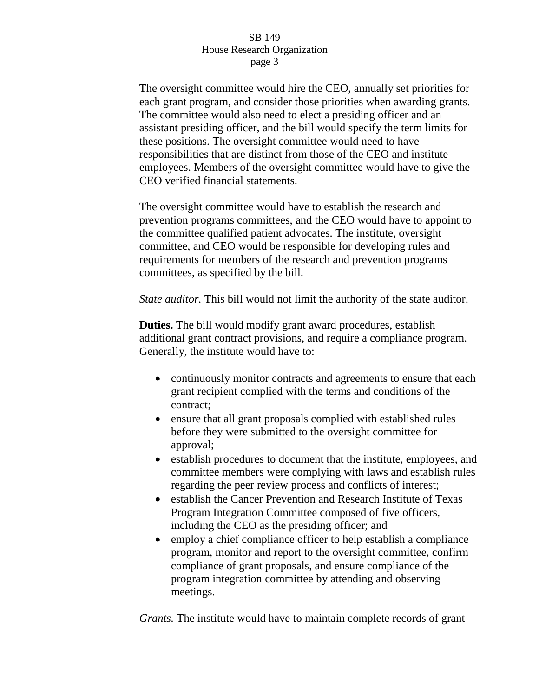The oversight committee would hire the CEO, annually set priorities for each grant program, and consider those priorities when awarding grants. The committee would also need to elect a presiding officer and an assistant presiding officer, and the bill would specify the term limits for these positions. The oversight committee would need to have responsibilities that are distinct from those of the CEO and institute employees. Members of the oversight committee would have to give the CEO verified financial statements.

The oversight committee would have to establish the research and prevention programs committees, and the CEO would have to appoint to the committee qualified patient advocates. The institute, oversight committee, and CEO would be responsible for developing rules and requirements for members of the research and prevention programs committees, as specified by the bill.

*State auditor.* This bill would not limit the authority of the state auditor.

**Duties.** The bill would modify grant award procedures, establish additional grant contract provisions, and require a compliance program. Generally, the institute would have to:

- continuously monitor contracts and agreements to ensure that each grant recipient complied with the terms and conditions of the contract;
- ensure that all grant proposals complied with established rules before they were submitted to the oversight committee for approval;
- establish procedures to document that the institute, employees, and committee members were complying with laws and establish rules regarding the peer review process and conflicts of interest;
- establish the Cancer Prevention and Research Institute of Texas Program Integration Committee composed of five officers, including the CEO as the presiding officer; and
- employ a chief compliance officer to help establish a compliance program, monitor and report to the oversight committee, confirm compliance of grant proposals, and ensure compliance of the program integration committee by attending and observing meetings.

*Grants.* The institute would have to maintain complete records of grant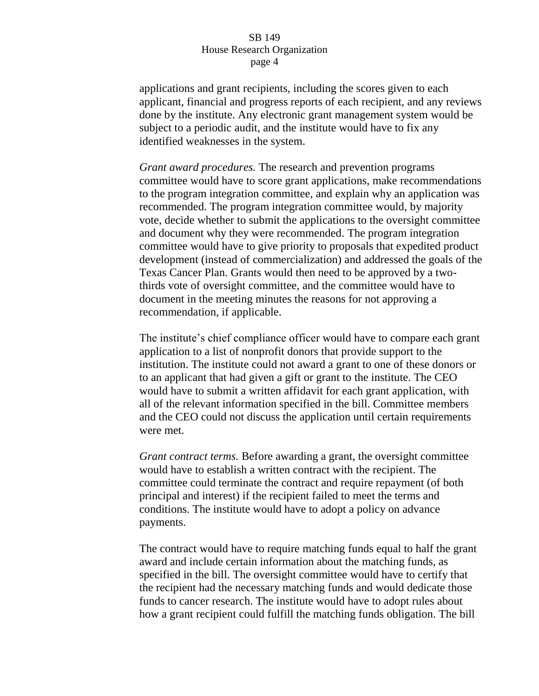applications and grant recipients, including the scores given to each applicant, financial and progress reports of each recipient, and any reviews done by the institute. Any electronic grant management system would be subject to a periodic audit, and the institute would have to fix any identified weaknesses in the system.

*Grant award procedures.* The research and prevention programs committee would have to score grant applications, make recommendations to the program integration committee, and explain why an application was recommended. The program integration committee would, by majority vote, decide whether to submit the applications to the oversight committee and document why they were recommended. The program integration committee would have to give priority to proposals that expedited product development (instead of commercialization) and addressed the goals of the Texas Cancer Plan. Grants would then need to be approved by a twothirds vote of oversight committee, and the committee would have to document in the meeting minutes the reasons for not approving a recommendation, if applicable.

The institute's chief compliance officer would have to compare each grant application to a list of nonprofit donors that provide support to the institution. The institute could not award a grant to one of these donors or to an applicant that had given a gift or grant to the institute. The CEO would have to submit a written affidavit for each grant application, with all of the relevant information specified in the bill. Committee members and the CEO could not discuss the application until certain requirements were met.

*Grant contract terms.* Before awarding a grant, the oversight committee would have to establish a written contract with the recipient. The committee could terminate the contract and require repayment (of both principal and interest) if the recipient failed to meet the terms and conditions. The institute would have to adopt a policy on advance payments.

The contract would have to require matching funds equal to half the grant award and include certain information about the matching funds, as specified in the bill. The oversight committee would have to certify that the recipient had the necessary matching funds and would dedicate those funds to cancer research. The institute would have to adopt rules about how a grant recipient could fulfill the matching funds obligation. The bill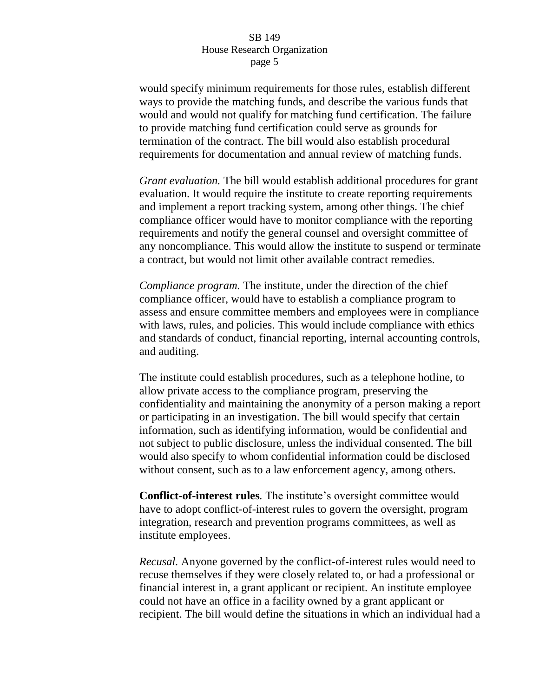would specify minimum requirements for those rules, establish different ways to provide the matching funds, and describe the various funds that would and would not qualify for matching fund certification. The failure to provide matching fund certification could serve as grounds for termination of the contract. The bill would also establish procedural requirements for documentation and annual review of matching funds.

*Grant evaluation.* The bill would establish additional procedures for grant evaluation. It would require the institute to create reporting requirements and implement a report tracking system, among other things. The chief compliance officer would have to monitor compliance with the reporting requirements and notify the general counsel and oversight committee of any noncompliance. This would allow the institute to suspend or terminate a contract, but would not limit other available contract remedies.

*Compliance program.* The institute, under the direction of the chief compliance officer, would have to establish a compliance program to assess and ensure committee members and employees were in compliance with laws, rules, and policies. This would include compliance with ethics and standards of conduct, financial reporting, internal accounting controls, and auditing.

The institute could establish procedures, such as a telephone hotline, to allow private access to the compliance program, preserving the confidentiality and maintaining the anonymity of a person making a report or participating in an investigation. The bill would specify that certain information, such as identifying information, would be confidential and not subject to public disclosure, unless the individual consented. The bill would also specify to whom confidential information could be disclosed without consent, such as to a law enforcement agency, among others.

**Conflict-of-interest rules***.* The institute's oversight committee would have to adopt conflict-of-interest rules to govern the oversight, program integration, research and prevention programs committees, as well as institute employees.

*Recusal.* Anyone governed by the conflict-of-interest rules would need to recuse themselves if they were closely related to, or had a professional or financial interest in, a grant applicant or recipient. An institute employee could not have an office in a facility owned by a grant applicant or recipient. The bill would define the situations in which an individual had a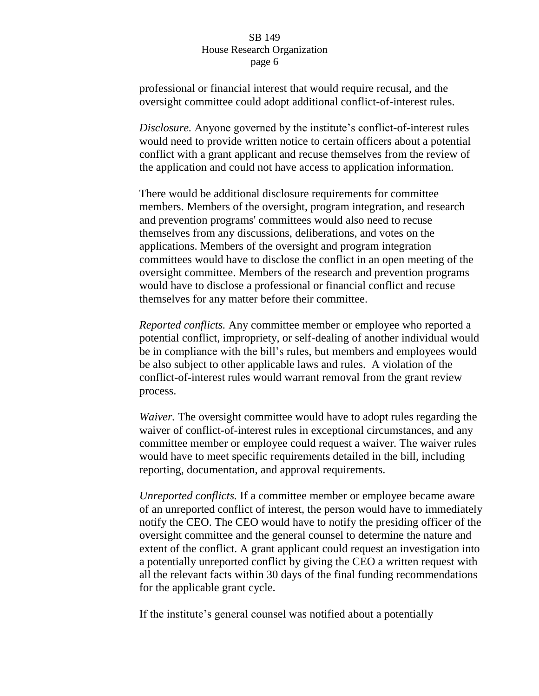professional or financial interest that would require recusal, and the oversight committee could adopt additional conflict-of-interest rules.

*Disclosure.* Anyone governed by the institute's conflict-of-interest rules would need to provide written notice to certain officers about a potential conflict with a grant applicant and recuse themselves from the review of the application and could not have access to application information.

There would be additional disclosure requirements for committee members. Members of the oversight, program integration, and research and prevention programs' committees would also need to recuse themselves from any discussions, deliberations, and votes on the applications. Members of the oversight and program integration committees would have to disclose the conflict in an open meeting of the oversight committee. Members of the research and prevention programs would have to disclose a professional or financial conflict and recuse themselves for any matter before their committee.

*Reported conflicts.* Any committee member or employee who reported a potential conflict, impropriety, or self-dealing of another individual would be in compliance with the bill's rules, but members and employees would be also subject to other applicable laws and rules. A violation of the conflict-of-interest rules would warrant removal from the grant review process.

*Waiver.* The oversight committee would have to adopt rules regarding the waiver of conflict-of-interest rules in exceptional circumstances, and any committee member or employee could request a waiver. The waiver rules would have to meet specific requirements detailed in the bill, including reporting, documentation, and approval requirements.

*Unreported conflicts.* If a committee member or employee became aware of an unreported conflict of interest, the person would have to immediately notify the CEO. The CEO would have to notify the presiding officer of the oversight committee and the general counsel to determine the nature and extent of the conflict. A grant applicant could request an investigation into a potentially unreported conflict by giving the CEO a written request with all the relevant facts within 30 days of the final funding recommendations for the applicable grant cycle.

If the institute's general counsel was notified about a potentially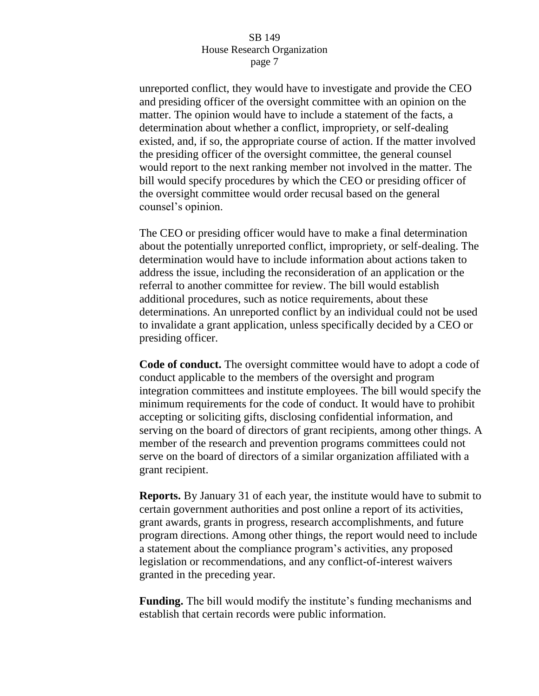unreported conflict, they would have to investigate and provide the CEO and presiding officer of the oversight committee with an opinion on the matter. The opinion would have to include a statement of the facts, a determination about whether a conflict, impropriety, or self-dealing existed, and, if so, the appropriate course of action. If the matter involved the presiding officer of the oversight committee, the general counsel would report to the next ranking member not involved in the matter. The bill would specify procedures by which the CEO or presiding officer of the oversight committee would order recusal based on the general counsel's opinion.

The CEO or presiding officer would have to make a final determination about the potentially unreported conflict, impropriety, or self-dealing. The determination would have to include information about actions taken to address the issue, including the reconsideration of an application or the referral to another committee for review. The bill would establish additional procedures, such as notice requirements, about these determinations. An unreported conflict by an individual could not be used to invalidate a grant application, unless specifically decided by a CEO or presiding officer.

**Code of conduct.** The oversight committee would have to adopt a code of conduct applicable to the members of the oversight and program integration committees and institute employees. The bill would specify the minimum requirements for the code of conduct. It would have to prohibit accepting or soliciting gifts, disclosing confidential information, and serving on the board of directors of grant recipients, among other things. A member of the research and prevention programs committees could not serve on the board of directors of a similar organization affiliated with a grant recipient.

**Reports.** By January 31 of each year, the institute would have to submit to certain government authorities and post online a report of its activities, grant awards, grants in progress, research accomplishments, and future program directions. Among other things, the report would need to include a statement about the compliance program's activities, any proposed legislation or recommendations, and any conflict-of-interest waivers granted in the preceding year.

**Funding.** The bill would modify the institute's funding mechanisms and establish that certain records were public information.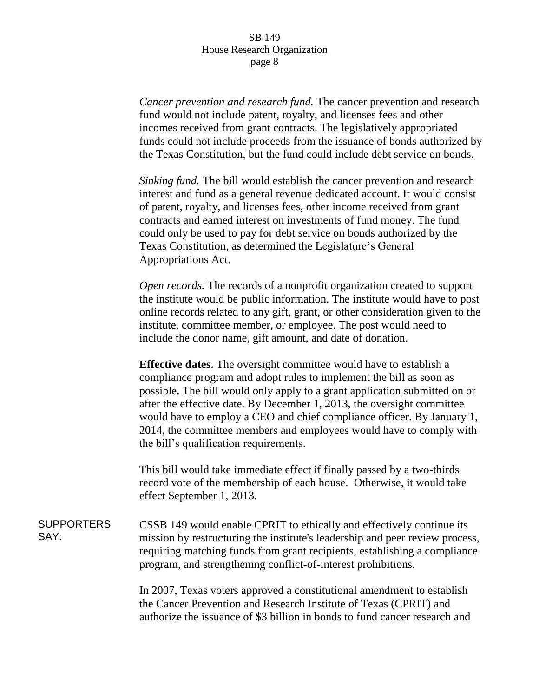*Cancer prevention and research fund.* The cancer prevention and research fund would not include patent, royalty, and licenses fees and other incomes received from grant contracts. The legislatively appropriated funds could not include proceeds from the issuance of bonds authorized by the Texas Constitution, but the fund could include debt service on bonds.

*Sinking fund.* The bill would establish the cancer prevention and research interest and fund as a general revenue dedicated account. It would consist of patent, royalty, and licenses fees, other income received from grant contracts and earned interest on investments of fund money. The fund could only be used to pay for debt service on bonds authorized by the Texas Constitution, as determined the Legislature's General Appropriations Act.

*Open records.* The records of a nonprofit organization created to support the institute would be public information. The institute would have to post online records related to any gift, grant, or other consideration given to the institute, committee member, or employee. The post would need to include the donor name, gift amount, and date of donation.

**Effective dates.** The oversight committee would have to establish a compliance program and adopt rules to implement the bill as soon as possible. The bill would only apply to a grant application submitted on or after the effective date. By December 1, 2013, the oversight committee would have to employ a CEO and chief compliance officer. By January 1, 2014, the committee members and employees would have to comply with the bill's qualification requirements.

This bill would take immediate effect if finally passed by a two-thirds record vote of the membership of each house. Otherwise, it would take effect September 1, 2013.

SUPPORTERS SAY: CSSB 149 would enable CPRIT to ethically and effectively continue its mission by restructuring the institute's leadership and peer review process, requiring matching funds from grant recipients, establishing a compliance program, and strengthening conflict-of-interest prohibitions.

> In 2007, Texas voters approved a constitutional amendment to establish the Cancer Prevention and Research Institute of Texas (CPRIT) and authorize the issuance of \$3 billion in bonds to fund cancer research and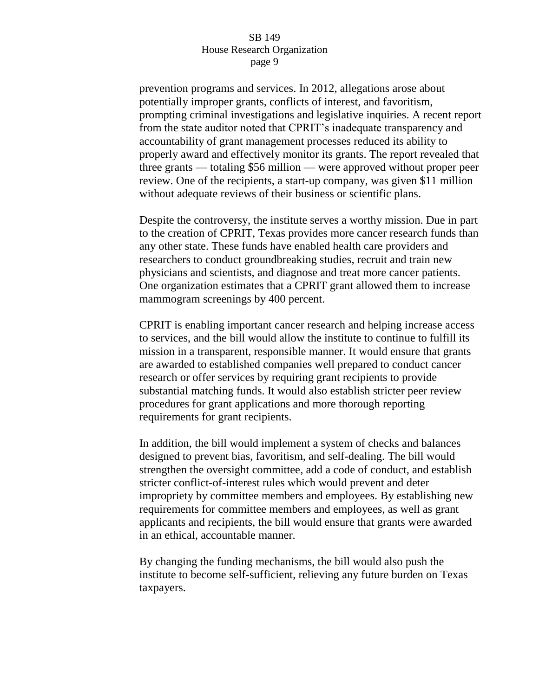prevention programs and services. In 2012, allegations arose about potentially improper grants, conflicts of interest, and favoritism, prompting criminal investigations and legislative inquiries. A recent report from the state auditor noted that CPRIT's inadequate transparency and accountability of grant management processes reduced its ability to properly award and effectively monitor its grants. The report revealed that three grants — totaling \$56 million — were approved without proper peer review. One of the recipients, a start-up company, was given \$11 million without adequate reviews of their business or scientific plans.

Despite the controversy, the institute serves a worthy mission. Due in part to the creation of CPRIT, Texas provides more cancer research funds than any other state. These funds have enabled health care providers and researchers to conduct groundbreaking studies, recruit and train new physicians and scientists, and diagnose and treat more cancer patients. One organization estimates that a CPRIT grant allowed them to increase mammogram screenings by 400 percent.

CPRIT is enabling important cancer research and helping increase access to services, and the bill would allow the institute to continue to fulfill its mission in a transparent, responsible manner. It would ensure that grants are awarded to established companies well prepared to conduct cancer research or offer services by requiring grant recipients to provide substantial matching funds. It would also establish stricter peer review procedures for grant applications and more thorough reporting requirements for grant recipients.

In addition, the bill would implement a system of checks and balances designed to prevent bias, favoritism, and self-dealing. The bill would strengthen the oversight committee, add a code of conduct, and establish stricter conflict-of-interest rules which would prevent and deter impropriety by committee members and employees. By establishing new requirements for committee members and employees, as well as grant applicants and recipients, the bill would ensure that grants were awarded in an ethical, accountable manner.

By changing the funding mechanisms, the bill would also push the institute to become self-sufficient, relieving any future burden on Texas taxpayers.